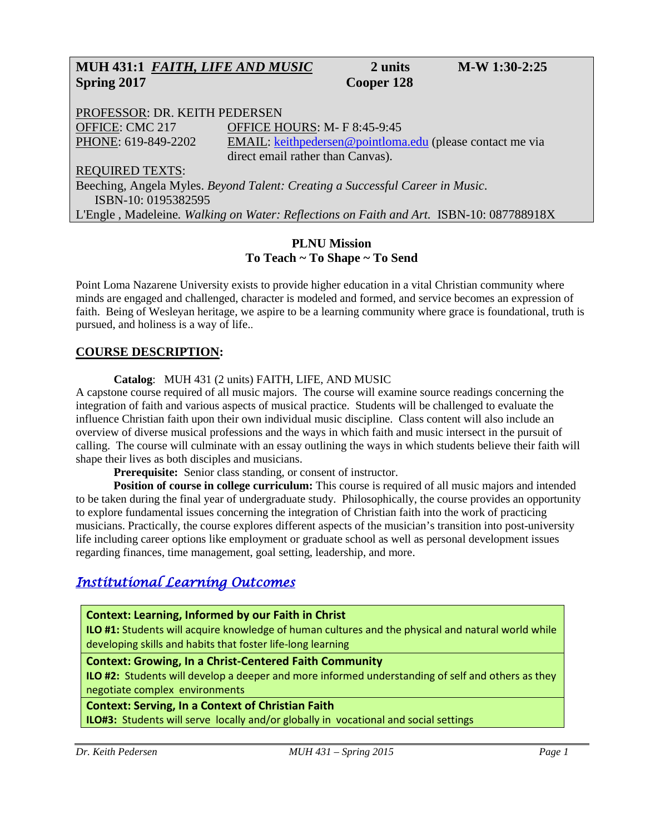# **MUH 431:1** *FAITH, LIFE AND MUSIC* **2 units M-W 1:30-2:25 Spring 2017 Cooper 128**

PROFESSOR: DR. KEITH PEDERSEN OFFICE: CMC 217 OFFICE HOURS: M- F 8:45-9:45 PHONE: 619-849-2202 EMAIL: [keithpedersen@pointloma.edu](mailto:keithpedersen@pointloma.edu) (please contact me via direct email rather than Canvas). REQUIRED TEXTS:

Beeching, Angela Myles. *Beyond Talent: Creating a Successful Career in Music*. ISBN-10: 0195382595

L'Engle , Madeleine*. Walking on Water: Reflections on Faith and Art.* ISBN-10: 087788918X

## **PLNU Mission To Teach ~ To Shape ~ To Send**

Point Loma Nazarene University exists to provide higher education in a vital Christian community where minds are engaged and challenged, character is modeled and formed, and service becomes an expression of faith. Being of Wesleyan heritage, we aspire to be a learning community where grace is foundational, truth is pursued, and holiness is a way of life..

# **COURSE DESCRIPTION:**

**Catalog**: MUH 431 (2 units) FAITH, LIFE, AND MUSIC

A capstone course required of all music majors. The course will examine source readings concerning the integration of faith and various aspects of musical practice. Students will be challenged to evaluate the influence Christian faith upon their own individual music discipline. Class content will also include an overview of diverse musical professions and the ways in which faith and music intersect in the pursuit of calling. The course will culminate with an essay outlining the ways in which students believe their faith will shape their lives as both disciples and musicians.

**Prerequisite:** Senior class standing, or consent of instructor.

**Position of course in college curriculum:** This course is required of all music majors and intended to be taken during the final year of undergraduate study. Philosophically, the course provides an opportunity to explore fundamental issues concerning the integration of Christian faith into the work of practicing musicians. Practically, the course explores different aspects of the musician's transition into post-university life including career options like employment or graduate school as well as personal development issues regarding finances, time management, goal setting, leadership, and more.

# *Institutional Learning Outcomes*

**Context: Learning, Informed by our Faith in Christ**

**ILO #1:** Students will acquire knowledge of human cultures and the physical and natural world while developing skills and habits that foster life-long learning

#### **Context: Growing, In a Christ-Centered Faith Community**

**ILO #2:** Students will develop a deeper and more informed understanding of self and others as they negotiate complex environments

#### **Context: Serving, In a Context of Christian Faith**

**ILO#3:** Students will serve locally and/or globally in vocational and social settings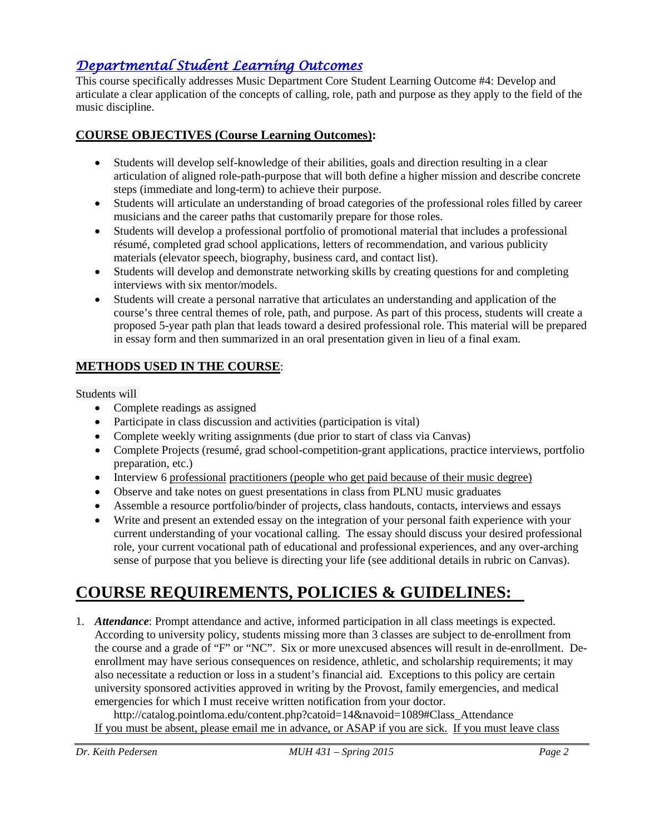# *Departmental Student Learning Outcomes*

This course specifically addresses Music Department Core Student Learning Outcome #4: Develop and articulate a clear application of the concepts of calling, role, path and purpose as they apply to the field of the music discipline.

# **COURSE OBJECTIVES (Course Learning Outcomes):**

- Students will develop self-knowledge of their abilities, goals and direction resulting in a clear articulation of aligned role-path-purpose that will both define a higher mission and describe concrete steps (immediate and long-term) to achieve their purpose.
- Students will articulate an understanding of broad categories of the professional roles filled by career musicians and the career paths that customarily prepare for those roles.
- Students will develop a professional portfolio of promotional material that includes a professional résumé, completed grad school applications, letters of recommendation, and various publicity materials (elevator speech, biography, business card, and contact list).
- Students will develop and demonstrate networking skills by creating questions for and completing interviews with six mentor/models.
- Students will create a personal narrative that articulates an understanding and application of the course's three central themes of role, path, and purpose. As part of this process, students will create a proposed 5-year path plan that leads toward a desired professional role. This material will be prepared in essay form and then summarized in an oral presentation given in lieu of a final exam.

# **METHODS USED IN THE COURSE**:

Students will

- Complete readings as assigned
- Participate in class discussion and activities (participation is vital)
- Complete weekly writing assignments (due prior to start of class via Canvas)
- Complete Projects (resumé, grad school-competition-grant applications, practice interviews, portfolio preparation, etc.)
- Interview 6 professional practitioners (people who get paid because of their music degree)
- Observe and take notes on guest presentations in class from PLNU music graduates
- Assemble a resource portfolio/binder of projects, class handouts, contacts, interviews and essays
- Write and present an extended essay on the integration of your personal faith experience with your current understanding of your vocational calling. The essay should discuss your desired professional role, your current vocational path of educational and professional experiences, and any over-arching sense of purpose that you believe is directing your life (see additional details in rubric on Canvas).

# **COURSE REQUIREMENTS, POLICIES & GUIDELINES:**

1. *Attendance*: Prompt attendance and active, informed participation in all class meetings is expected. According to university policy, students missing more than 3 classes are subject to de-enrollment from the course and a grade of "F" or "NC". Six or more unexcused absences will result in de-enrollment. Deenrollment may have serious consequences on residence, athletic, and scholarship requirements; it may also necessitate a reduction or loss in a student's financial aid. Exceptions to this policy are certain university sponsored activities approved in writing by the Provost, family emergencies, and medical emergencies for which I must receive written notification from your doctor.

http://catalog.pointloma.edu/content.php?catoid=14&navoid=1089#Class\_Attendance If you must be absent, please email me in advance, or ASAP if you are sick. If you must leave class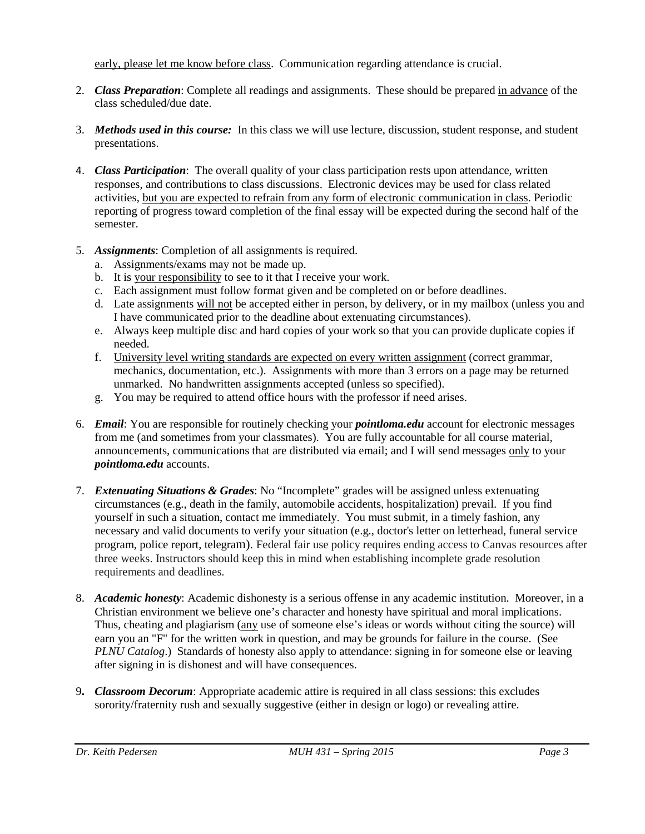early, please let me know before class. Communication regarding attendance is crucial.

- 2. *Class Preparation*: Complete all readings and assignments. These should be prepared in advance of the class scheduled/due date.
- 3. *Methods used in this course:* In this class we will use lecture, discussion, student response, and student presentations.
- 4. *Class Participation*: The overall quality of your class participation rests upon attendance, written responses, and contributions to class discussions. Electronic devices may be used for class related activities, but you are expected to refrain from any form of electronic communication in class. Periodic reporting of progress toward completion of the final essay will be expected during the second half of the semester.
- 5. *Assignments*: Completion of all assignments is required.
	- a. Assignments/exams may not be made up.
	- b. It is your responsibility to see to it that I receive your work.
	- c. Each assignment must follow format given and be completed on or before deadlines.
	- d. Late assignments will not be accepted either in person, by delivery, or in my mailbox (unless you and I have communicated prior to the deadline about extenuating circumstances).
	- e. Always keep multiple disc and hard copies of your work so that you can provide duplicate copies if needed.
	- f. University level writing standards are expected on every written assignment (correct grammar, mechanics, documentation, etc.). Assignments with more than 3 errors on a page may be returned unmarked. No handwritten assignments accepted (unless so specified).
	- g. You may be required to attend office hours with the professor if need arises.
- 6. *Email*: You are responsible for routinely checking your *pointloma.edu* account for electronic messages from me (and sometimes from your classmates). You are fully accountable for all course material, announcements, communications that are distributed via email; and I will send messages only to your *pointloma.edu* accounts.
- 7. *Extenuating Situations & Grades*: No "Incomplete" grades will be assigned unless extenuating circumstances (e.g., death in the family, automobile accidents, hospitalization) prevail. If you find yourself in such a situation, contact me immediately. You must submit, in a timely fashion, any necessary and valid documents to verify your situation (e.g., doctor's letter on letterhead, funeral service program, police report, telegram). Federal fair use policy requires ending access to Canvas resources after three weeks. Instructors should keep this in mind when establishing incomplete grade resolution requirements and deadlines.
- 8. *Academic honesty*: Academic dishonesty is a serious offense in any academic institution. Moreover, in a Christian environment we believe one's character and honesty have spiritual and moral implications. Thus, cheating and plagiarism (any use of someone else's ideas or words without citing the source) will earn you an "F" for the written work in question, and may be grounds for failure in the course. (See *PLNU Catalog*.) Standards of honesty also apply to attendance: signing in for someone else or leaving after signing in is dishonest and will have consequences.
- 9**.** *Classroom Decorum*: Appropriate academic attire is required in all class sessions: this excludes sorority/fraternity rush and sexually suggestive (either in design or logo) or revealing attire.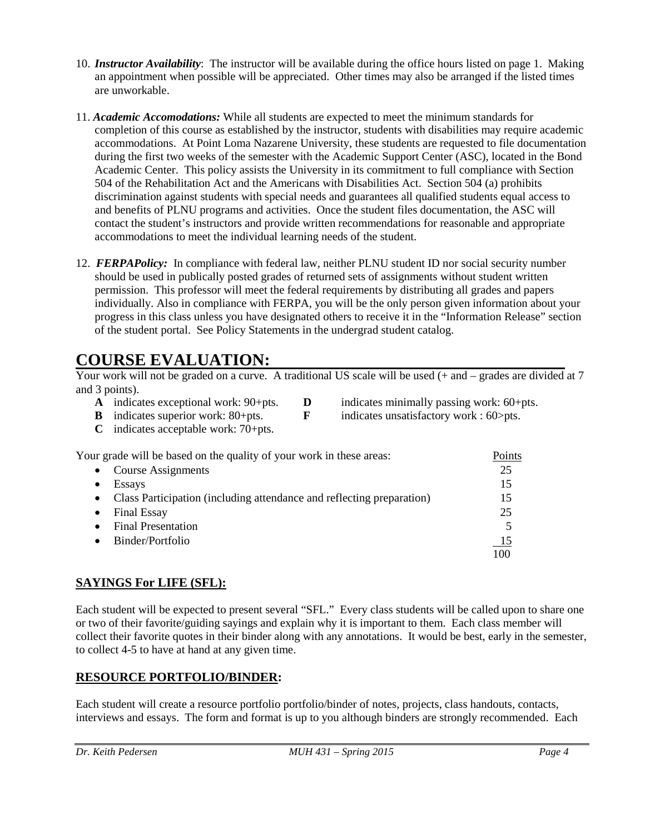- 10. *Instructor Availability*: The instructor will be available during the office hours listed on page 1. Making an appointment when possible will be appreciated. Other times may also be arranged if the listed times are unworkable.
- 11. *Academic Accomodations:* While all students are expected to meet the minimum standards for completion of this course as established by the instructor, students with disabilities may require academic accommodations. At Point Loma Nazarene University, these students are requested to file documentation during the first two weeks of the semester with the Academic Support Center (ASC), located in the Bond Academic Center. This policy assists the University in its commitment to full compliance with Section 504 of the Rehabilitation Act and the Americans with Disabilities Act. Section 504 (a) prohibits discrimination against students with special needs and guarantees all qualified students equal access to and benefits of PLNU programs and activities. Once the student files documentation, the ASC will contact the student's instructors and provide written recommendations for reasonable and appropriate accommodations to meet the individual learning needs of the student.
- 12. *FERPAPolicy:* In compliance with federal law, neither PLNU student ID nor social security number should be used in publically posted grades of returned sets of assignments without student written permission. This professor will meet the federal requirements by distributing all grades and papers individually. Also in compliance with FERPA, you will be the only person given information about your progress in this class unless you have designated others to receive it in the "Information Release" section of the student portal. See Policy Statements in the undergrad student catalog.

# **COURSE EVALUATION:**

|                                                | Your work will not be graded on a curve. A traditional US scale will be used (+ and – grades are divided at 7 |
|------------------------------------------------|---------------------------------------------------------------------------------------------------------------|
| and 3 points).                                 |                                                                                                               |
| $\Lambda$ indicates executional work $00$ into | $\frac{1}{2}$ indicates minimally necessary weaks $\epsilon_0$ into                                           |

- **A** indicates exceptional work: 90+pts. **D** indicates minimally passing work: 60+pts.
- 
- 
- 
- **B** indicates superior work: 80+pts. **F** indicates unsatisfactory work : 60>pts.
- **C** indicates acceptable work: 70+pts.

Your grade will be based on the quality of your work in these areas: Points

| Course Assignments                                                    | 25        |
|-----------------------------------------------------------------------|-----------|
| Essays                                                                | 15        |
| Class Participation (including attendance and reflecting preparation) | 15        |
| <b>Final Essay</b>                                                    | 25        |
| <b>Final Presentation</b>                                             |           |
| Binder/Portfolio                                                      | <u>15</u> |
|                                                                       | 100       |

# **SAYINGS For LIFE (SFL):**

Each student will be expected to present several "SFL." Every class students will be called upon to share one or two of their favorite/guiding sayings and explain why it is important to them. Each class member will collect their favorite quotes in their binder along with any annotations. It would be best, early in the semester, to collect 4-5 to have at hand at any given time.

# **RESOURCE PORTFOLIO/BINDER:**

Each student will create a resource portfolio portfolio/binder of notes, projects, class handouts, contacts, interviews and essays. The form and format is up to you although binders are strongly recommended. Each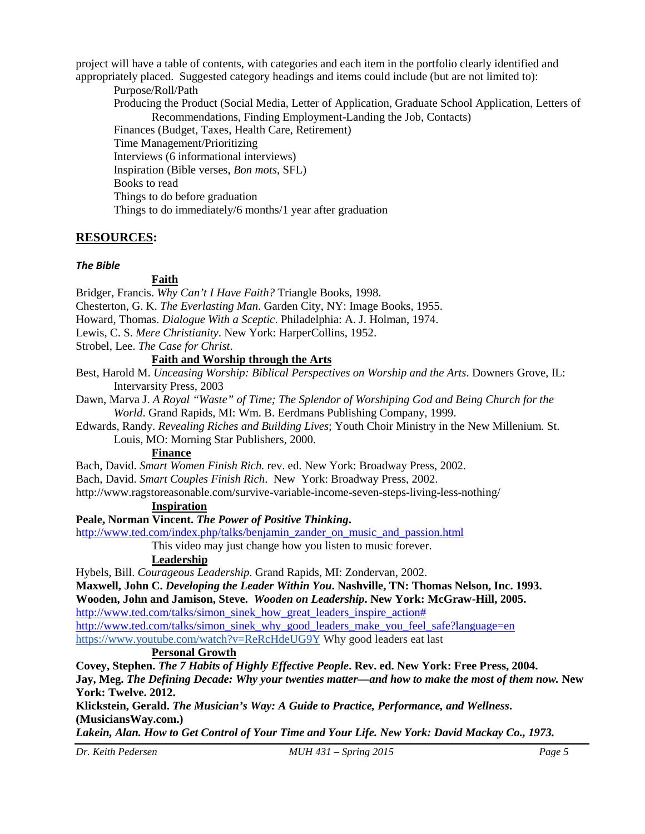project will have a table of contents, with categories and each item in the portfolio clearly identified and appropriately placed. Suggested category headings and items could include (but are not limited to):

Purpose/Roll/Path Producing the Product (Social Media, Letter of Application, Graduate School Application, Letters of Recommendations, Finding Employment-Landing the Job, Contacts) Finances (Budget, Taxes, Health Care, Retirement) Time Management/Prioritizing Interviews (6 informational interviews) Inspiration (Bible verses, *Bon mots*, SFL) Books to read Things to do before graduation Things to do immediately/6 months/1 year after graduation

## **RESOURCES:**

#### *The Bible*

#### **Faith**

Bridger, Francis. *Why Can't I Have Faith?* Triangle Books, 1998.

Chesterton, G. K. *The Everlasting Man*. Garden City, NY: Image Books, 1955.

Howard, Thomas. *Dialogue With a Sceptic*. Philadelphia: A. J. Holman, 1974.

Lewis, C. S. *Mere Christianity*. New York: HarperCollins, 1952.

Strobel, Lee. *The Case for Christ*.

**Faith and Worship through the Arts**

Best, Harold M. *Unceasing Worship: Biblical Perspectives on Worship and the Arts*. Downers Grove, IL: Intervarsity Press, 2003

Dawn, Marva J. *A Royal "Waste" of Time; The Splendor of Worshiping God and Being Church for the World*. Grand Rapids, MI: Wm. B. Eerdmans Publishing Company, 1999.

Edwards, Randy. *Revealing Riches and Building Lives*; Youth Choir Ministry in the New Millenium. St. Louis, MO: Morning Star Publishers, 2000.

#### **Finance**

Bach, David. *Smart Women Finish Rich.* rev. ed. New York: Broadway Press, 2002.

Bach, David. *Smart Couples Finish Rich*. New York: Broadway Press, 2002.

http://www.ragstoreasonable.com/survive-variable-income-seven-steps-living-less-nothing/

**Inspiration**

#### **Peale, Norman Vincent.** *The Power of Positive Thinking***.**

[http://www.ted.com/index.php/talks/benjamin\\_zander\\_on\\_music\\_and\\_passion.html](http://www.ted.com/index.php/talks/benjamin_zander_on_music_and_passion.html)

This video may just change how you listen to music forever.

#### **Leadership**

Hybels, Bill. *Courageous Leadership*. Grand Rapids, MI: Zondervan, 2002.

**Maxwell, John C.** *Developing the Leader Within You***. Nashville, TN: Thomas Nelson, Inc. 1993.**

**Wooden, John and Jamison, Steve.** *Wooden on Leadership***. New York: McGraw-Hill, 2005.**

[http://www.ted.com/talks/simon\\_sinek\\_how\\_great\\_leaders\\_inspire\\_action#](http://www.ted.com/talks/simon_sinek_how_great_leaders_inspire_action)

[http://www.ted.com/talks/simon\\_sinek\\_why\\_good\\_leaders\\_make\\_you\\_feel\\_safe?language=en](http://www.ted.com/talks/simon_sinek_why_good_leaders_make_you_feel_safe?language=en)

<https://www.youtube.com/watch?v=ReRcHdeUG9Y> Why good leaders eat last

### **Personal Growth**

**Covey, Stephen.** *The 7 Habits of Highly Effective People***. Rev. ed. New York: Free Press, 2004. Jay, Meg.** *The Defining Decade: Why your twenties matter—and how to make the most of them now.* **New York: Twelve. 2012.**

**Klickstein, Gerald.** *The Musician's Way: A Guide to Practice, Performance, and Wellness***. (MusiciansWay.com.)**

*Lakein, Alan. How to Get Control of Your Time and Your Life. New York: David Mackay Co., 1973.*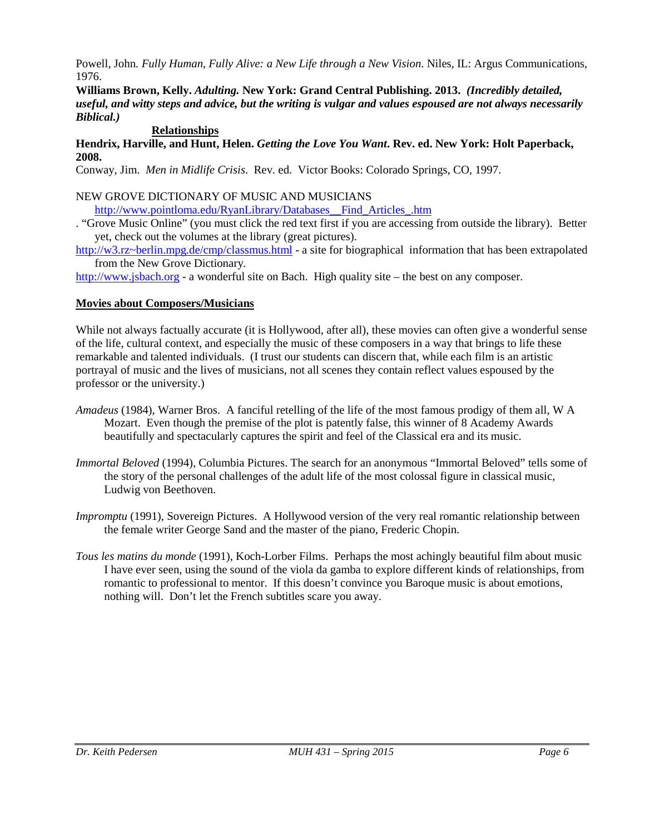Powell, John*. Fully Human, Fully Alive: a New Life through a New Vision*. Niles, IL: Argus Communications, 1976.

**Williams Brown, Kelly.** *Adulting.* **New York: Grand Central Publishing. 2013.** *(Incredibly detailed, useful, and witty steps and advice, but the writing is vulgar and values espoused are not always necessarily Biblical.)*

#### **Relationships**

**Hendrix, Harville, and Hunt, Helen.** *Getting the Love You Want***. Rev. ed. New York: Holt Paperback, 2008.**

Conway, Jim. *Men in Midlife Crisis*. Rev. ed. Victor Books: Colorado Springs, CO, 1997.

#### NEW GROVE DICTIONARY OF MUSIC AND MUSICIANS

[http://www.pointloma.edu/RyanLibrary/Databases\\_\\_Find\\_Articles\\_.htm](http://www.pointloma.edu/RyanLibrary/Databases__Find_Articles_.htm)

. "Grove Music Online" (you must click the red text first if you are accessing from outside the library). Better yet, check out the volumes at the library (great pictures).

[http://w3.rz~berlin.mpg.de/cmp/classmus.html](http://w3.rz%7Eberlin.mpg.de/cmp/classmus.html) - a site for biographical information that has been extrapolated from the New Grove Dictionary*.*

[http://www.jsbach.org](http://www.jsbach.org/) - a wonderful site on Bach. High quality site – the best on any composer.

#### **Movies about Composers/Musicians**

While not always factually accurate (it is Hollywood, after all), these movies can often give a wonderful sense of the life, cultural context, and especially the music of these composers in a way that brings to life these remarkable and talented individuals. (I trust our students can discern that, while each film is an artistic portrayal of music and the lives of musicians, not all scenes they contain reflect values espoused by the professor or the university.)

- *Amadeus* (1984), Warner Bros. A fanciful retelling of the life of the most famous prodigy of them all, W A Mozart. Even though the premise of the plot is patently false, this winner of 8 Academy Awards beautifully and spectacularly captures the spirit and feel of the Classical era and its music.
- *Immortal Beloved* (1994), Columbia Pictures. The search for an anonymous "Immortal Beloved" tells some of the story of the personal challenges of the adult life of the most colossal figure in classical music, Ludwig von Beethoven.
- *Impromptu* (1991), Sovereign Pictures. A Hollywood version of the very real romantic relationship between the female writer George Sand and the master of the piano, Frederic Chopin.
- *Tous les matins du monde* (1991), Koch-Lorber Films. Perhaps the most achingly beautiful film about music I have ever seen, using the sound of the viola da gamba to explore different kinds of relationships, from romantic to professional to mentor. If this doesn't convince you Baroque music is about emotions, nothing will. Don't let the French subtitles scare you away.